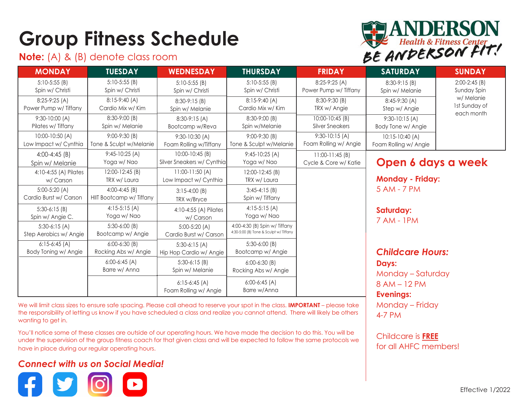# **Group Fitness Schedule**

### **Note:** (A) & (B) denote class room



| <b>MONDAY</b>                            | <b>TUESDAY</b>                              | <b>WEDNESDAY</b>                              | <b>THURSDAY</b>                                                         | <b>FRIDAY</b>                             | <b>SATURDAY</b>                                                                           | <b>SUNDAY</b>                                                               |
|------------------------------------------|---------------------------------------------|-----------------------------------------------|-------------------------------------------------------------------------|-------------------------------------------|-------------------------------------------------------------------------------------------|-----------------------------------------------------------------------------|
| $5:10-5:55(B)$<br>Spin w/ Christi        | $5:10-5:55(B)$<br>Spin w/ Christi           | $5:10-5:55(B)$<br>Spin w/ Christi             | $5:10-5:55(B)$<br>Spin w/ Christi                                       | 8:25-9:25 (A)<br>Power Pump w/ Tiffany    | $8:30-9:15(B)$<br>Spin w/ Melanie                                                         | $2:00-2:45$ (B)<br>Sunday Spin<br>w/ Melanie<br>1st Sunday of<br>each month |
| $8:25-9:25(A)$<br>Power Pump w/ Tiffany  | $8:15-9:40(A)$<br>Cardio Mix w/ Kim         | $8:30-9:15(B)$<br>Spin w/ Melanie             | $8:15-9:40(A)$<br>Cardio Mix w/ Kim                                     | 8:30-9:30 (B)<br>TRX w/ Angie             | 8:45-9:30 (A)<br>Step w/ Angie                                                            |                                                                             |
| $9:30-10:00(A)$<br>Pilates w/ Tiffany    | 8:30-9:00 (B)<br>Spin w/ Melanie            | $8:30-9:15(A)$<br>Bootcamp w/Reva             | 8:30-9:00 (B)<br>Spin w/Melanie                                         | $10:00 - 10:45$ (B)<br>Silver Sneakers    | $9:30-10:15(A)$<br>Body Tone w/ Angie                                                     |                                                                             |
| 10:00-10:50 (A)<br>Low Impact w/ Cynthia | $9:00-9:30(B)$<br>Tone & Sculpt w/Melanie   | $9:30-10:30(A)$<br>Foam Rolling w/Tiffany     | $9:00-9:30(B)$<br>Tone & Sculpt w/Melanie                               | $9:30-10:15(A)$<br>Foam Rolling w/ Angie  | $10:15-10:40(A)$<br>Foam Rolling w/ Angie                                                 |                                                                             |
| $4:00-4:45(B)$<br>Spin w/ Melanie        | $9:45-10:25(A)$<br>Yoga w/ Nao              | 10:00-10:45 (B)<br>Silver Sneakers w/ Cynthia | $9:45-10:25(A)$<br>Yoga w/ Nao                                          | $11:00-11:45(B)$<br>Cycle & Core w/ Katie | Open 6 days a week<br><b>Monday - Friday:</b><br>5 AM - 7 PM<br>Saturday:<br>7 AM - 1 PM  |                                                                             |
| 4:10-4:55 (A) Pilates<br>w/ Carson       | $12:00-12:45(B)$<br>TRX w/ Laura            | $11:00-11:50(A)$<br>Low Impact w/ Cynthia     | 12:00-12:45 (B)<br>TRX w/ Laura                                         |                                           |                                                                                           |                                                                             |
| $5:00-5:20(A)$<br>Cardio Burst w/ Carson | $4:00-4:45$ (B)<br>HIIT Bootcamp w/ Tiffany | $3:15-4:00(B)$<br>TRX w/Bryce                 | $3:45-4:15(B)$<br>Spin w/ Tiffany                                       |                                           |                                                                                           |                                                                             |
| $5:30-6:15(B)$<br>Spin w/ Angie C.       | $4:15-5:15(A)$<br>Yoga w/ Nao               | 4:10-4:55 (A) Pilates<br>w/ Carson            | $4:15-5:15(A)$<br>Yoga w/ Nao                                           |                                           |                                                                                           |                                                                             |
| $5:30-6:15(A)$<br>Step Aerobics w/ Angie | $5:30-6:00$ (B)<br>Bootcamp w/ Angie        | $5:00-5:20(A)$<br>Cardio Burst w/ Carson      | 4:00-4:30 (B) Spin w/ Tiffany<br>4:30-5:00 (B) Tone & Sculpt w/ Tiffany |                                           |                                                                                           |                                                                             |
| $6:15-6:45(A)$<br>Body Toning w/ Angie   | $6:00-6:30$ (B)<br>Rocking Abs w/ Angie     | $5:30-6:15(A)$<br>Hip Hop Cardio w/ Angie     | $5:30-6:00$ (B)<br>Bootcamp w/ Angie                                    |                                           | <b>Childcare Hours:</b><br>Days:<br>Monday - Saturday<br>8 AM - 12 PM<br><b>Evenings:</b> |                                                                             |
|                                          | $6:00-6:45(A)$<br>Barre w/ Anna             | $5:30-6:15(B)$<br>Spin w/ Melanie             | $6:00-6:30(B)$<br>Rocking Abs w/ Angie                                  |                                           |                                                                                           |                                                                             |
|                                          |                                             | $6:15-6:45(A)$<br>Foam Rolling w/ Angie       | $6:00-6:45(A)$<br>Barre w/Anna                                          |                                           |                                                                                           |                                                                             |

We will limit class sizes to ensure safe spacing. Please call ahead to reserve your spot in the class. **IMPORTANT** – please take the responsibility of letting us know if you have scheduled a class and realize you cannot attend. There will likely be others wanting to get in.

You'll notice some of these classes are outside of our operating hours. We have made the decision to do this. You will be under the supervision of the group fitness coach for that given class and will be expected to follow the same protocols we have in place during our regular operating hours.

#### *Connect with us on Social Media!*



Childcare is **FREE** for all AHFC members!

Monday – Friday

4-7 PM